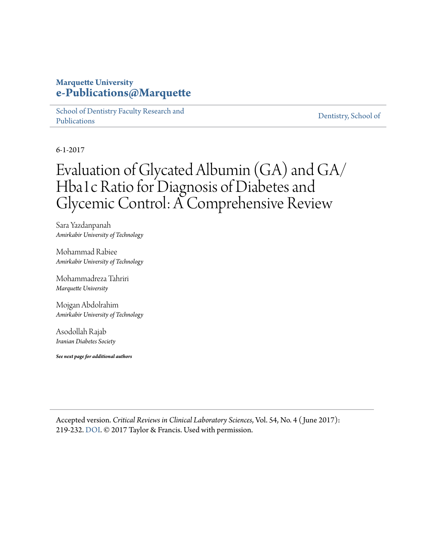### **Marquette University [e-Publications@Marquette](https://epublications.marquette.edu/)**

[School of Dentistry Faculty Research and](https://epublications.marquette.edu/dentistry_fac) [Publications](https://epublications.marquette.edu/dentistry_fac)

[Dentistry, School of](https://epublications.marquette.edu/dentistry)

6-1-2017

## Evaluation of Glycated Albumin (GA) and GA/ Hba1c Ratio for Diagnosis of Diabetes and Glycemic Control: A Comprehensive Review

Sara Yazdanpanah *Amirkabir University of Technology*

Mohammad Rabiee *Amirkabir University of Technology*

Mohammadreza Tahriri *Marquette University*

Mojgan Abdolrahim *Amirkabir University of Technology*

Asodollah Rajab *Iranian Diabetes Society*

*See next page for additional authors*

Accepted version. *Critical Reviews in Clinical Laboratory Sciences*, Vol. 54, No. 4 ( June 2017): 219-232. [DOI.](https://doi.org/10.1080/10408363.2017.1299684) © 2017 Taylor & Francis. Used with permission.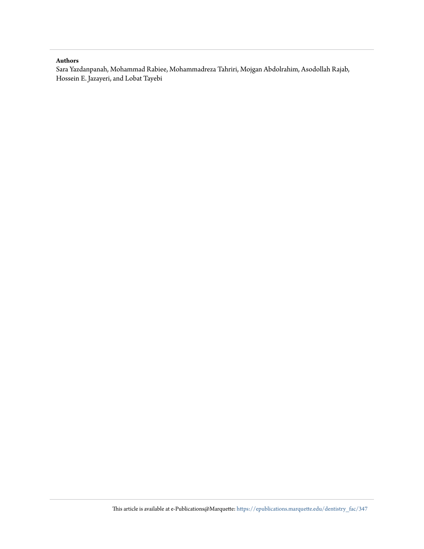#### **Authors**

Sara Yazdanpanah, Mohammad Rabiee, Mohammadreza Tahriri, Mojgan Abdolrahim, Asodollah Rajab, Hossein E. Jazayeri, and Lobat Tayebi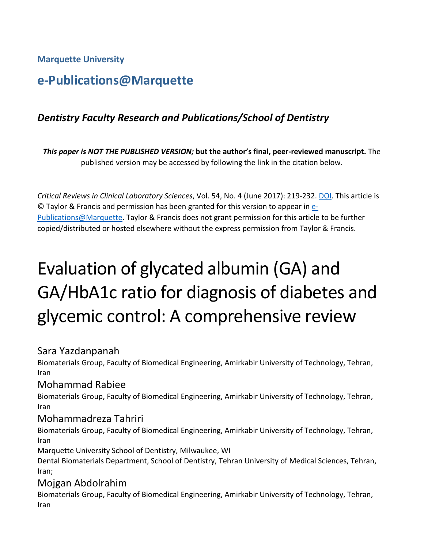**Marquette University**

### **e-Publications@Marquette**

### *Dentistry Faculty Research and Publications/School of Dentistry*

*This paper is NOT THE PUBLISHED VERSION;* **but the author's final, peer-reviewed manuscript.** The published version may be accessed by following the link in the citation below.

*Critical Reviews in Clinical Laboratory Sciences*, Vol. 54, No. 4 (June 2017): 219-232. [DOI.](http://dx.doi.org/10.1080/10408363.2017.1299684) This article is © Taylor & Francis and permission has been granted for this version to appear in [e-](http://epublications.marquette.edu/)[Publications@Marquette.](http://epublications.marquette.edu/) Taylor & Francis does not grant permission for this article to be further copied/distributed or hosted elsewhere without the express permission from Taylor & Francis.

# Evaluation of glycated albumin (GA) and GA/HbA1c ratio for diagnosis of diabetes and glycemic control: A comprehensive review

### Sara Yazdanpanah

Biomaterials Group, Faculty of Biomedical Engineering, Amirkabir University of Technology, Tehran, Iran

### Mohammad Rabiee

Biomaterials Group, Faculty of Biomedical Engineering, Amirkabir University of Technology, Tehran, Iran

### Mohammadreza Tahriri

Biomaterials Group, Faculty of Biomedical Engineering, Amirkabir University of Technology, Tehran, Iran

Marquette University School of Dentistry, Milwaukee, WI

Dental Biomaterials Department, School of Dentistry, Tehran University of Medical Sciences, Tehran, Iran;

### Mojgan Abdolrahim

Biomaterials Group, Faculty of Biomedical Engineering, Amirkabir University of Technology, Tehran, Iran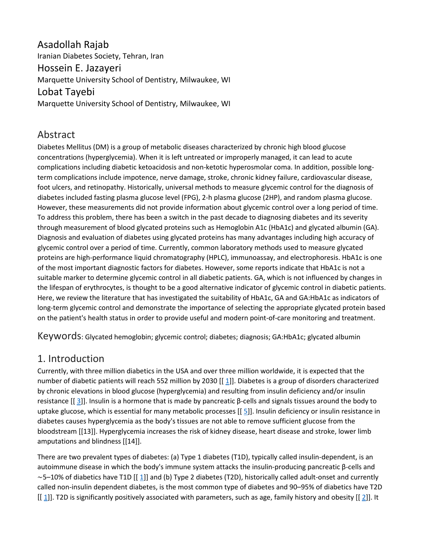### Asadollah Rajab Iranian Diabetes Society, Tehran, Iran Hossein E. Jazayeri Marquette University School of Dentistry, Milwaukee, WI Lobat Tayebi

Marquette University School of Dentistry, Milwaukee, WI

### Abstract

Diabetes Mellitus (DM) is a group of metabolic diseases characterized by chronic high blood glucose concentrations (hyperglycemia). When it is left untreated or improperly managed, it can lead to acute complications including diabetic ketoacidosis and non-ketotic hyperosmolar coma. In addition, possible longterm complications include impotence, nerve damage, stroke, chronic kidney failure, cardiovascular disease, foot ulcers, and retinopathy. Historically, universal methods to measure glycemic control for the diagnosis of diabetes included fasting plasma glucose level (FPG), 2-h plasma glucose (2HP), and random plasma glucose. However, these measurements did not provide information about glycemic control over a long period of time. To address this problem, there has been a switch in the past decade to diagnosing diabetes and its severity through measurement of blood glycated proteins such as Hemoglobin A1c (HbA1c) and glycated albumin (GA). Diagnosis and evaluation of diabetes using glycated proteins has many advantages including high accuracy of glycemic control over a period of time. Currently, common laboratory methods used to measure glycated proteins are high-performance liquid chromatography (HPLC), immunoassay, and electrophoresis. HbA1c is one of the most important diagnostic factors for diabetes. However, some reports indicate that HbA1c is not a suitable marker to determine glycemic control in all diabetic patients. GA, which is not influenced by changes in the lifespan of erythrocytes, is thought to be a good alternative indicator of glycemic control in diabetic patients. Here, we review the literature that has investigated the suitability of HbA1c, GA and GA:HbA1c as indicators of long-term glycemic control and demonstrate the importance of selecting the appropriate glycated protein based on the patient's health status in order to provide useful and modern point-of-care monitoring and treatment.

Keywords: Glycated hemoglobin; glycemic control; diabetes; diagnosis; GA:HbA1c; glycated albumin

### [1. Introduction](https://0-web-b-ebscohost-com.libus.csd.mu.edu/ehost/detail/detail?vid=3&sid=c5124c80-245b-49ef-91f1-b66e68033453%40pdc-v-sessmgr01&bdata=JnNpdGU9ZWhvc3QtbGl2ZQ%3d%3d#toc)

Currently, with three million diabetics in the USA and over three million worldwide, it is expected that the number of diabetic patients will reach 552 million by 2030 [[[1\]](https://0-web-b-ebscohost-com.libus.csd.mu.edu/ehost/detail/detail?vid=3&sid=c5124c80-245b-49ef-91f1-b66e68033453%40pdc-v-sessmgr01&bdata=JnNpdGU9ZWhvc3QtbGl2ZQ%3d%3d#bib1)]. Diabetes is a group of disorders characterized by chronic elevations in blood glucose (hyperglycemia) and resulting from insulin deficiency and/or insulin resistance [[ [3\]](https://0-web-b-ebscohost-com.libus.csd.mu.edu/ehost/detail/detail?vid=3&sid=c5124c80-245b-49ef-91f1-b66e68033453%40pdc-v-sessmgr01&bdata=JnNpdGU9ZWhvc3QtbGl2ZQ%3d%3d#bib3)]. Insulin is a hormone that is made by pancreatic β-cells and signals tissues around the body to uptake glucose, which is essential for many metabolic processes [[[5\]](https://0-web-b-ebscohost-com.libus.csd.mu.edu/ehost/detail/detail?vid=3&sid=c5124c80-245b-49ef-91f1-b66e68033453%40pdc-v-sessmgr01&bdata=JnNpdGU9ZWhvc3QtbGl2ZQ%3d%3d#bib5)]. Insulin deficiency or insulin resistance in diabetes causes hyperglycemia as the body's tissues are not able to remove sufficient glucose from the bloodstream [[13]]. Hyperglycemia increases the risk of kidney disease, heart disease and stroke, lower limb amputations and blindness [[14]].

There are two prevalent types of diabetes: (a) Type 1 diabetes (T1D), typically called insulin-dependent, is an autoimmune disease in which the body's immune system attacks the insulin-producing pancreatic β-cells and ∼5–10% of diabetics have T1D [[ [1\]](https://0-web-b-ebscohost-com.libus.csd.mu.edu/ehost/detail/detail?vid=3&sid=c5124c80-245b-49ef-91f1-b66e68033453%40pdc-v-sessmgr01&bdata=JnNpdGU9ZWhvc3QtbGl2ZQ%3d%3d#bib1)] and (b) Type 2 diabetes (T2D), historically called adult-onset and currently called non-insulin dependent diabetes, is the most common type of diabetes and 90–95% of diabetics have T2D  $[[1]]$  $[[1]]$  $[[1]]$ . T2D is significantly positively associated with parameters, such as age, family history and obesity  $[[2]]$  $[[2]]$  $[[2]]$ . It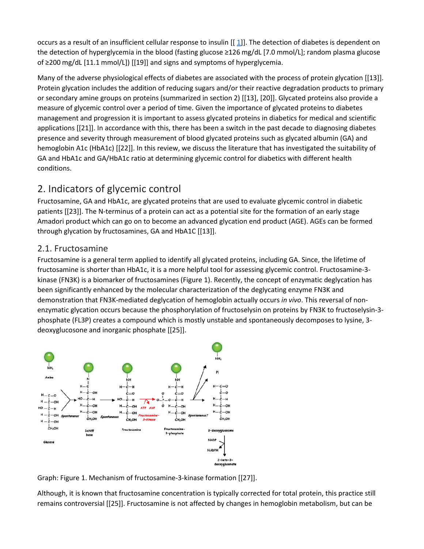occurs as a result of an insufficient cellular response to insulin [[ [1\]](https://0-web-b-ebscohost-com.libus.csd.mu.edu/ehost/detail/detail?vid=3&sid=c5124c80-245b-49ef-91f1-b66e68033453%40pdc-v-sessmgr01&bdata=JnNpdGU9ZWhvc3QtbGl2ZQ%3d%3d#bib1)]. The detection of diabetes is dependent on the detection of hyperglycemia in the blood (fasting glucose ≥126 mg/dL [7.0 mmol/L]; random plasma glucose of ≥200 mg/dL [11.1 mmol/L]) [[19]] and signs and symptoms of hyperglycemia.

Many of the adverse physiological effects of diabetes are associated with the process of protein glycation [[13]]. Protein glycation includes the addition of reducing sugars and/or their reactive degradation products to primary or secondary amine groups on proteins (summarized in section 2) [[13], [20]]. Glycated proteins also provide a measure of glycemic control over a period of time. Given the importance of glycated proteins to diabetes management and progression it is important to assess glycated proteins in diabetics for medical and scientific applications [[21]]. In accordance with this, there has been a switch in the past decade to diagnosing diabetes presence and severity through measurement of blood glycated proteins such as glycated albumin (GA) and hemoglobin A1c (HbA1c) [[22]]. In this review, we discuss the literature that has investigated the suitability of GA and HbA1c and GA/HbA1c ratio at determining glycemic control for diabetics with different health conditions.

### [2. Indicators of glycemic control](https://0-web-b-ebscohost-com.libus.csd.mu.edu/ehost/detail/detail?vid=3&sid=c5124c80-245b-49ef-91f1-b66e68033453%40pdc-v-sessmgr01&bdata=JnNpdGU9ZWhvc3QtbGl2ZQ%3d%3d#toc)

Fructosamine, GA and HbA1c, are glycated proteins that are used to evaluate glycemic control in diabetic patients [[23]]. The N-terminus of a protein can act as a potential site for the formation of an early stage Amadori product which can go on to become an advanced glycation end product (AGE). AGEs can be formed through glycation by fructosamines, GA and HbA1C [[13]].

### [2.1. Fructosamine](https://0-web-b-ebscohost-com.libus.csd.mu.edu/ehost/detail/detail?vid=3&sid=c5124c80-245b-49ef-91f1-b66e68033453%40pdc-v-sessmgr01&bdata=JnNpdGU9ZWhvc3QtbGl2ZQ%3d%3d#toc)

Fructosamine is a general term applied to identify all glycated proteins, including GA. Since, the lifetime of fructosamine is shorter than HbA1c, it is a more helpful tool for assessing glycemic control. Fructosamine-3 kinase (FN3K) is a biomarker of fructosamines (Figure 1). Recently, the concept of enzymatic deglycation has been significantly enhanced by the molecular characterization of the deglycating enzyme FN3K and demonstration that FN3K-mediated deglycation of hemoglobin actually occurs *in vivo*. This reversal of nonenzymatic glycation occurs because the phosphorylation of fructoselysin on proteins by FN3K to fructoselysin-3 phosphate (FL3P) creates a compound which is mostly unstable and spontaneously decomposes to lysine, 3 deoxyglucosone and inorganic phosphate [[25]].



Graph: Figure 1. Mechanism of fructosamine-3-kinase formation [[27]].

Although, it is known that fructosamine concentration is typically corrected for total protein, this practice still remains controversial [[25]]. Fructosamine is not affected by changes in hemoglobin metabolism, but can be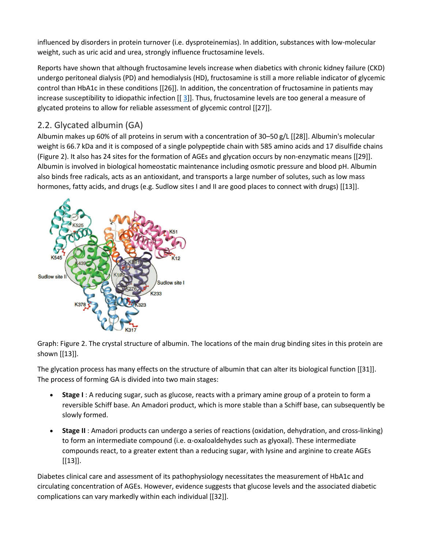influenced by disorders in protein turnover (i.e. dysproteinemias). In addition, substances with low-molecular weight, such as uric acid and urea, strongly influence fructosamine levels.

Reports have shown that although fructosamine levels increase when diabetics with chronic kidney failure (CKD) undergo peritoneal dialysis (PD) and hemodialysis (HD), fructosamine is still a more reliable indicator of glycemic control than HbA1c in these conditions [[26]]. In addition, the concentration of fructosamine in patients may increase susceptibility to idiopathic infection  $[[3]]$  $[[3]]$  $[[3]]$ . Thus, fructosamine levels are too general a measure of glycated proteins to allow for reliable assessment of glycemic control [[27]].

### [2.2. Glycated albumin \(GA\)](https://0-web-b-ebscohost-com.libus.csd.mu.edu/ehost/detail/detail?vid=3&sid=c5124c80-245b-49ef-91f1-b66e68033453%40pdc-v-sessmgr01&bdata=JnNpdGU9ZWhvc3QtbGl2ZQ%3d%3d#toc)

Albumin makes up 60% of all proteins in serum with a concentration of 30–50 g/L [[28]]. Albumin's molecular weight is 66.7 kDa and it is composed of a single polypeptide chain with 585 amino acids and 17 disulfide chains (Figure 2). It also has 24 sites for the formation of AGEs and glycation occurs by non-enzymatic means [[29]]. Albumin is involved in biological homeostatic maintenance including osmotic pressure and blood pH. Albumin also binds free radicals, acts as an antioxidant, and transports a large number of solutes, such as low mass hormones, fatty acids, and drugs (e.g. Sudlow sites I and II are good places to connect with drugs) [[13]].



Graph: Figure 2. The crystal structure of albumin. The locations of the main drug binding sites in this protein are shown [[13]].

The glycation process has many effects on the structure of albumin that can alter its biological function [[31]]. The process of forming GA is divided into two main stages:

- **Stage I** : A reducing sugar, such as glucose, reacts with a primary amine group of a protein to form a reversible Schiff base. An Amadori product, which is more stable than a Schiff base, can subsequently be slowly formed.
- **Stage II** : Amadori products can undergo a series of reactions (oxidation, dehydration, and cross-linking) to form an intermediate compound (i.e. α-oxaloaldehydes such as glyoxal). These intermediate compounds react, to a greater extent than a reducing sugar, with lysine and arginine to create AGEs [[13]].

Diabetes clinical care and assessment of its pathophysiology necessitates the measurement of HbA1c and circulating concentration of AGEs. However, evidence suggests that glucose levels and the associated diabetic complications can vary markedly within each individual [[32]].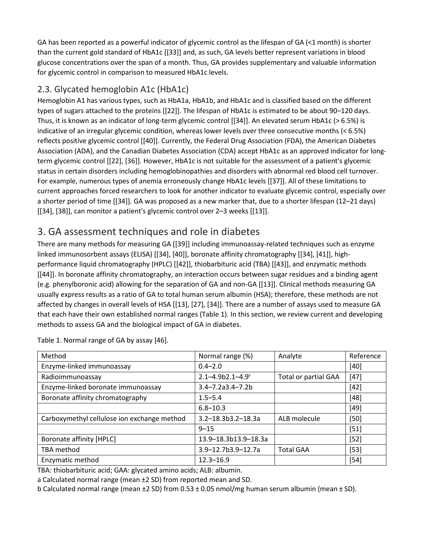GA has been reported as a powerful indicator of glycemic control as the lifespan of GA (<1 month) is shorter than the current gold standard of HbA1c [[33]] and, as such, GA levels better represent variations in blood glucose concentrations over the span of a month. Thus, GA provides supplementary and valuable information for glycemic control in comparison to measured HbA1c levels.

#### [2.3. Glycated hemoglobin A1c \(HbA1c\)](https://0-web-b-ebscohost-com.libus.csd.mu.edu/ehost/detail/detail?vid=3&sid=c5124c80-245b-49ef-91f1-b66e68033453%40pdc-v-sessmgr01&bdata=JnNpdGU9ZWhvc3QtbGl2ZQ%3d%3d#toc)

Hemoglobin A1 has various types, such as HbA1a, HbA1b, and HbA1c and is classified based on the different types of sugars attached to the proteins [[22]]. The lifespan of HbA1c is estimated to be about 90–120 days. Thus, it is known as an indicator of long-term glycemic control [[34]]. An elevated serum HbA1c (> 6.5%) is indicative of an irregular glycemic condition, whereas lower levels over three consecutive months (< 6.5%) reflects positive glycemic control [[40]]. Currently, the Federal Drug Association (FDA), the American Diabetes Association (ADA), and the Canadian Diabetes Association (CDA) accept HbA1c as an approved indicator for longterm glycemic control [[22], [36]]. However, HbA1c is not suitable for the assessment of a patient's glycemic status in certain disorders including hemoglobinopathies and disorders with abnormal red blood cell turnover. For example, numerous types of anemia erroneously change HbA1c levels [[37]]. All of these limitations to current approaches forced researchers to look for another indicator to evaluate glycemic control, especially over a shorter period of time [[34]]. GA was proposed as a new marker that, due to a shorter lifespan (12–21 days) [[34], [38]], can monitor a patient's glycemic control over 2–3 weeks [[13]].

### [3. GA assessment techniques and role in diabetes](https://0-web-b-ebscohost-com.libus.csd.mu.edu/ehost/detail/detail?vid=3&sid=c5124c80-245b-49ef-91f1-b66e68033453%40pdc-v-sessmgr01&bdata=JnNpdGU9ZWhvc3QtbGl2ZQ%3d%3d#toc)

There are many methods for measuring GA [[39]] including immunoassay-related techniques such as enzyme linked immunosorbent assays (ELISA) [[34], [40]], boronate affinity chromatography [[34], [41]], highperformance liquid chromatography (HPLC) [[42]], thiobarbituric acid (TBA) [[43]], and enzymatic methods [[44]]. In boronate affinity chromatography, an interaction occurs between sugar residues and a binding agent (e.g. phenylboronic acid) allowing for the separation of GA and non-GA [[13]]. Clinical methods measuring GA usually express results as a ratio of GA to total human serum albumin (HSA); therefore, these methods are not affected by changes in overall levels of HSA [[13], [27], [34]]. There are a number of assays used to measure GA that each have their own established normal ranges (Table 1). In this section, we review current and developing methods to assess GA and the biological impact of GA in diabetes.

| Method                                      | Normal range (%)         | Analyte                     | Reference |
|---------------------------------------------|--------------------------|-----------------------------|-----------|
| Enzyme-linked immunoassay                   | $0.4 - 2.0$              |                             | $[40]$    |
| Radioimmunoassay                            | $2.1 - 4.9b2.1 - 4.9c$   | <b>Total or partial GAA</b> | $[47]$    |
| Enzyme-linked boronate immunoassay          | $3.4 - 7.2a3.4 - 7.2b$   |                             | $[42]$    |
| Boronate affinity chromatography            | $1.5 - 5.4$              |                             | $[48]$    |
|                                             | $6.8 - 10.3$             |                             | $[49]$    |
| Carboxymethyl cellulose ion exchange method | $3.2 - 18.3b3.2 - 18.3a$ | ALB molecule                | $[50]$    |
|                                             | $9 - 15$                 |                             | $[51]$    |
| Boronate affinity [HPLC]                    | 13.9-18.3b13.9-18.3a     |                             | $[52]$    |
| TBA method                                  | 3.9-12.7b3.9-12.7a       | <b>Total GAA</b>            | $[53]$    |
| Enzymatic method                            | $12.3 - 16.9$            |                             | $[54]$    |

Table 1. Normal range of GA by assay [46].

TBA: thiobarbituric acid; GAA: glycated amino acids; ALB: albumin.

a Calculated normal range (mean ±2 SD) from reported mean and SD.

b Calculated normal range (mean ±2 SD) from 0.53 ± 0.05 nmol/mg human serum albumin (mean ± SD).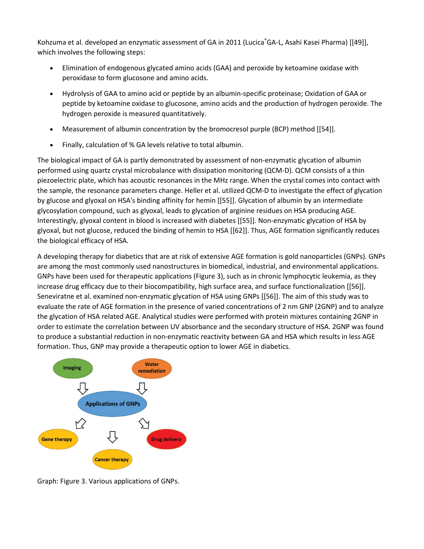Kohzuma et al. developed an enzymatic assessment of GA in 2011 (Lucica GA-L, Asahi Kasei Pharma) [[49]], which involves the following steps:

- Elimination of endogenous glycated amino acids (GAA) and peroxide by ketoamine oxidase with peroxidase to form glucosone and amino acids.
- Hydrolysis of GAA to amino acid or peptide by an albumin-specific proteinase; Oxidation of GAA or peptide by ketoamine oxidase to glucosone, amino acids and the production of hydrogen peroxide. The hydrogen peroxide is measured quantitatively.
- Measurement of albumin concentration by the bromocresol purple (BCP) method [[54]].
- Finally, calculation of % GA levels relative to total albumin.

The biological impact of GA is partly demonstrated by assessment of non-enzymatic glycation of albumin performed using quartz crystal microbalance with dissipation monitoring (QCM-D). QCM consists of a thin piezoelectric plate, which has acoustic resonances in the MHz range. When the crystal comes into contact with the sample, the resonance parameters change. Heller et al. utilized QCM-D to investigate the effect of glycation by glucose and glyoxal on HSA's binding affinity for hemin [[55]]. Glycation of albumin by an intermediate glycosylation compound, such as glyoxal, leads to glycation of arginine residues on HSA producing AGE. Interestingly, glyoxal content in blood is increased with diabetes [[55]]. Non-enzymatic glycation of HSA by glyoxal, but not glucose, reduced the binding of hemin to HSA [[62]]. Thus, AGE formation significantly reduces the biological efficacy of HSA.

A developing therapy for diabetics that are at risk of extensive AGE formation is gold nanoparticles (GNPs). GNPs are among the most commonly used nanostructures in biomedical, industrial, and environmental applications. GNPs have been used for therapeutic applications (Figure 3), such as in chronic lymphocytic leukemia, as they increase drug efficacy due to their biocompatibility, high surface area, and surface functionalization [[56]]. Seneviratne et al. examined non-enzymatic glycation of HSA using GNPs [[56]]. The aim of this study was to evaluate the rate of AGE formation in the presence of varied concentrations of 2 nm GNP (2GNP) and to analyze the glycation of HSA related AGE. Analytical studies were performed with protein mixtures containing 2GNP in order to estimate the correlation between UV absorbance and the secondary structure of HSA. 2GNP was found to produce a substantial reduction in non-enzymatic reactivity between GA and HSA which results in less AGE formation. Thus, GNP may provide a therapeutic option to lower AGE in diabetics.



Graph: Figure 3. Various applications of GNPs.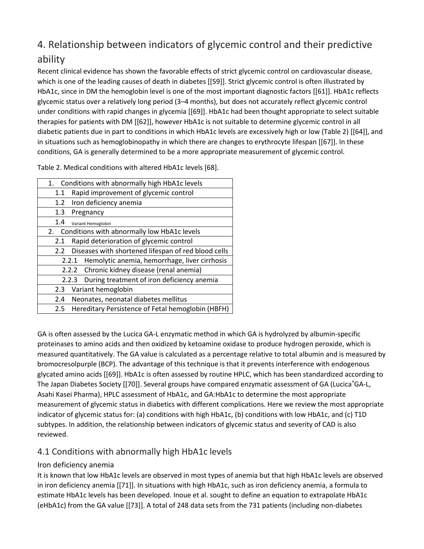### [4. Relationship between indicators of glycemic control and their predictive](https://0-web-b-ebscohost-com.libus.csd.mu.edu/ehost/detail/detail?vid=3&sid=c5124c80-245b-49ef-91f1-b66e68033453%40pdc-v-sessmgr01&bdata=JnNpdGU9ZWhvc3QtbGl2ZQ%3d%3d#toc)  [ability](https://0-web-b-ebscohost-com.libus.csd.mu.edu/ehost/detail/detail?vid=3&sid=c5124c80-245b-49ef-91f1-b66e68033453%40pdc-v-sessmgr01&bdata=JnNpdGU9ZWhvc3QtbGl2ZQ%3d%3d#toc)

Recent clinical evidence has shown the favorable effects of strict glycemic control on cardiovascular disease, which is one of the leading causes of death in diabetes [[59]]. Strict glycemic control is often illustrated by HbA1c, since in DM the hemoglobin level is one of the most important diagnostic factors [[61]]. HbA1c reflects glycemic status over a relatively long period (3–4 months), but does not accurately reflect glycemic control under conditions with rapid changes in glycemia [[69]]. HbA1c had been thought appropriate to select suitable therapies for patients with DM [[62]], however HbA1c is not suitable to determine glycemic control in all diabetic patients due in part to conditions in which HbA1c levels are excessively high or low (Table 2) [[64]], and in situations such as hemoglobinopathy in which there are changes to erythrocyte lifespan [[67]]. In these conditions, GA is generally determined to be a more appropriate measurement of glycemic control.

Table 2. Medical conditions with altered HbA1c levels [68].

| Conditions with abnormally high HbA1c levels<br>1.         |  |  |
|------------------------------------------------------------|--|--|
| Rapid improvement of glycemic control<br>1.1               |  |  |
| Iron deficiency anemia<br>1.2                              |  |  |
| 1.3<br>Pregnancy                                           |  |  |
| 1.4<br>Variant Hemoglobin                                  |  |  |
| 2. Conditions with abnormally low HbA1c levels             |  |  |
| Rapid deterioration of glycemic control<br>2.1             |  |  |
| Diseases with shortened lifespan of red blood cells<br>2.2 |  |  |
| Hemolytic anemia, hemorrhage, liver cirrhosis<br>2.2.1     |  |  |
| 2.2.2 Chronic kidney disease (renal anemia)                |  |  |
| During treatment of iron deficiency anemia<br>2.2.3        |  |  |
| Variant hemoglobin<br>2.3                                  |  |  |
| Neonates, neonatal diabetes mellitus<br>$2.4^{\circ}$      |  |  |
| Hereditary Persistence of Fetal hemoglobin (HBFH)<br>2.5   |  |  |

GA is often assessed by the Lucica GA-L enzymatic method in which GA is hydrolyzed by albumin-specific proteinases to amino acids and then oxidized by ketoamine oxidase to produce hydrogen peroxide, which is measured quantitatively. The GA value is calculated as a percentage relative to total albumin and is measured by bromocresolpurple (BCP). The advantage of this technique is that it prevents interference with endogenous glycated amino acids [[69]]. HbA1c is often assessed by routine HPLC, which has been standardized according to The Japan Diabetes Society [[70]]. Several groups have compared enzymatic assessment of GA (Lucica GA-L, Asahi Kasei Pharma), HPLC assessment of HbA1c, and GA:HbA1c to determine the most appropriate measurement of glycemic status in diabetics with different complications. Here we review the most appropriate indicator of glycemic status for: (a) conditions with high HbA1c, (b) conditions with low HbA1c, and (c) T1D subtypes. In addition, the relationship between indicators of glycemic status and severity of CAD is also reviewed.

#### [4.1 Conditions with abnormally high HbA1c levels](https://0-web-b-ebscohost-com.libus.csd.mu.edu/ehost/detail/detail?vid=3&sid=c5124c80-245b-49ef-91f1-b66e68033453%40pdc-v-sessmgr01&bdata=JnNpdGU9ZWhvc3QtbGl2ZQ%3d%3d#toc)

#### [Iron deficiency anemia](https://0-web-b-ebscohost-com.libus.csd.mu.edu/ehost/detail/detail?vid=3&sid=c5124c80-245b-49ef-91f1-b66e68033453%40pdc-v-sessmgr01&bdata=JnNpdGU9ZWhvc3QtbGl2ZQ%3d%3d#toc)

It is known that low HbA1c levels are observed in most types of anemia but that high HbA1c levels are observed in iron deficiency anemia [[71]]. In situations with high HbA1c, such as iron deficiency anemia, a formula to estimate HbA1c levels has been developed. Inoue et al. sought to define an equation to extrapolate HbA1c (eHbA1c) from the GA value [[73]]. A total of 248 data sets from the 731 patients (including non-diabetes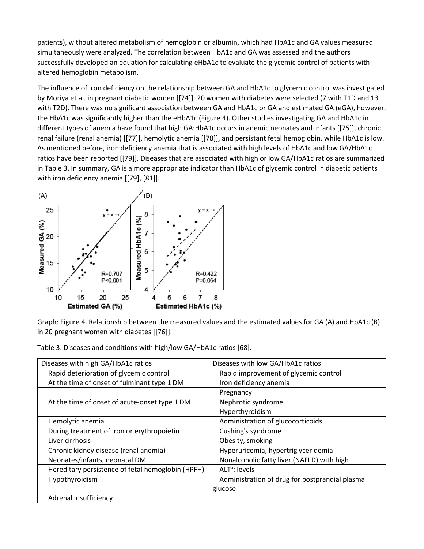patients), without altered metabolism of hemoglobin or albumin, which had HbA1c and GA values measured simultaneously were analyzed. The correlation between HbA1c and GA was assessed and the authors successfully developed an equation for calculating eHbA1c to evaluate the glycemic control of patients with altered hemoglobin metabolism.

The influence of iron deficiency on the relationship between GA and HbA1c to glycemic control was investigated by Moriya et al. in pregnant diabetic women [[74]]. 20 women with diabetes were selected (7 with T1D and 13 with T2D). There was no significant association between GA and HbA1c or GA and estimated GA (eGA), however, the HbA1c was significantly higher than the eHbA1c (Figure 4). Other studies investigating GA and HbA1c in different types of anemia have found that high GA:HbA1c occurs in anemic neonates and infants [[75]], chronic renal failure (renal anemia) [[77]], hemolytic anemia [[78]], and persistant fetal hemoglobin, while HbA1c is low. As mentioned before, iron deficiency anemia that is associated with high levels of HbA1c and low GA/HbA1c ratios have been reported [[79]]. Diseases that are associated with high or low GA/HbA1c ratios are summarized in Table 3. In summary, GA is a more appropriate indicator than HbA1c of glycemic control in diabetic patients with iron deficiency anemia [[79], [81]].



Graph: Figure 4. Relationship between the measured values and the estimated values for GA (A) and HbA1c (B) in 20 pregnant women with diabetes [[76]].

| Diseases with high GA/HbA1c ratios                | Diseases with low GA/HbA1c ratios              |
|---------------------------------------------------|------------------------------------------------|
| Rapid deterioration of glycemic control           | Rapid improvement of glycemic control          |
| At the time of onset of fulminant type 1 DM       | Iron deficiency anemia                         |
|                                                   | Pregnancy                                      |
| At the time of onset of acute-onset type 1 DM     | Nephrotic syndrome                             |
|                                                   | Hyperthyroidism                                |
| Hemolytic anemia                                  | Administration of glucocorticoids              |
| During treatment of iron or erythropoietin        | Cushing's syndrome                             |
| Liver cirrhosis                                   | Obesity, smoking                               |
| Chronic kidney disease (renal anemia)             | Hyperuricemia, hypertriglyceridemia            |
| Neonates/infants, neonatal DM                     | Nonalcoholic fatty liver (NAFLD) with high     |
| Hereditary persistence of fetal hemoglobin (HPFH) | ALT <sup>a</sup> : levels                      |
| Hypothyroidism                                    | Administration of drug for postprandial plasma |
|                                                   | glucose                                        |
| Adrenal insufficiency                             |                                                |

Table 3. Diseases and conditions with high/low GA/HbA1c ratios [68].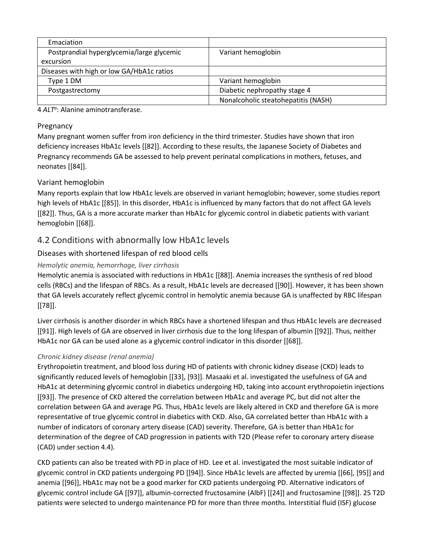| Emaciation                                |                                     |
|-------------------------------------------|-------------------------------------|
| Postprandial hyperglycemia/large glycemic | Variant hemoglobin                  |
| excursion                                 |                                     |
| Diseases with high or low GA/HbA1c ratios |                                     |
| Type 1 DM                                 | Variant hemoglobin                  |
| Postgastrectomy                           | Diabetic nephropathy stage 4        |
|                                           | Nonalcoholic steatohepatitis (NASH) |

4 *ALTa* : Alanine aminotransferase.

#### [Pregnancy](https://0-web-b-ebscohost-com.libus.csd.mu.edu/ehost/detail/detail?vid=3&sid=c5124c80-245b-49ef-91f1-b66e68033453%40pdc-v-sessmgr01&bdata=JnNpdGU9ZWhvc3QtbGl2ZQ%3d%3d#toc)

Many pregnant women suffer from iron deficiency in the third trimester. Studies have shown that iron deficiency increases HbA1c levels [[82]]. According to these results, the Japanese Society of Diabetes and Pregnancy recommends GA be assessed to help prevent perinatal complications in mothers, fetuses, and neonates [[84]].

#### [Variant hemoglobin](https://0-web-b-ebscohost-com.libus.csd.mu.edu/ehost/detail/detail?vid=3&sid=c5124c80-245b-49ef-91f1-b66e68033453%40pdc-v-sessmgr01&bdata=JnNpdGU9ZWhvc3QtbGl2ZQ%3d%3d#toc)

Many reports explain that low HbA1c levels are observed in variant hemoglobin; however, some studies report high levels of HbA1c [[85]]. In this disorder, HbA1c is influenced by many factors that do not affect GA levels [[82]]. Thus, GA is a more accurate marker than HbA1c for glycemic control in diabetic patients with variant hemoglobin [[68]].

#### [4.2 Conditions with abnormally low HbA1c levels](https://0-web-b-ebscohost-com.libus.csd.mu.edu/ehost/detail/detail?vid=3&sid=c5124c80-245b-49ef-91f1-b66e68033453%40pdc-v-sessmgr01&bdata=JnNpdGU9ZWhvc3QtbGl2ZQ%3d%3d#toc)

#### [Diseases with shortened lifespan of red blood cells](https://0-web-b-ebscohost-com.libus.csd.mu.edu/ehost/detail/detail?vid=3&sid=c5124c80-245b-49ef-91f1-b66e68033453%40pdc-v-sessmgr01&bdata=JnNpdGU9ZWhvc3QtbGl2ZQ%3d%3d#toc)

#### *[Hemolytic anemia, hemorrhage, liver cirrhosis](https://0-web-b-ebscohost-com.libus.csd.mu.edu/ehost/detail/detail?vid=3&sid=c5124c80-245b-49ef-91f1-b66e68033453%40pdc-v-sessmgr01&bdata=JnNpdGU9ZWhvc3QtbGl2ZQ%3d%3d#toc)*

Hemolytic anemia is associated with reductions in HbA1c [[88]]. Anemia increases the synthesis of red blood cells (RBCs) and the lifespan of RBCs. As a result, HbA1c levels are decreased [[90]]. However, it has been shown that GA levels accurately reflect glycemic control in hemolytic anemia because GA is unaffected by RBC lifespan [[78]].

Liver cirrhosis is another disorder in which RBCs have a shortened lifespan and thus HbA1c levels are decreased [[91]]. High levels of GA are observed in liver cirrhosis due to the long lifespan of albumin [[92]]. Thus, neither HbA1c nor GA can be used alone as a glycemic control indicator in this disorder [[68]].

#### *[Chronic kidney disease \(renal anemia\)](https://0-web-b-ebscohost-com.libus.csd.mu.edu/ehost/detail/detail?vid=3&sid=c5124c80-245b-49ef-91f1-b66e68033453%40pdc-v-sessmgr01&bdata=JnNpdGU9ZWhvc3QtbGl2ZQ%3d%3d#toc)*

Erythropoietin treatment, and blood loss during HD of patients with chronic kidney disease (CKD) leads to significantly reduced levels of hemoglobin [[33], [93]]. Masaaki et al. investigated the usefulness of GA and HbA1c at determining glycemic control in diabetics undergoing HD, taking into account erythropoietin injections [[93]]. The presence of CKD altered the correlation between HbA1c and average PC, but did not alter the correlation between GA and average PG. Thus, HbA1c levels are likely altered in CKD and therefore GA is more representative of true glycemic control in diabetics with CKD. Also, GA correlated better than HbA1c with a number of indicators of coronary artery disease (CAD) severity. Therefore, GA is better than HbA1c for determination of the degree of CAD progression in patients with T2D (Please refer to coronary artery disease (CAD) under section 4.4).

CKD patients can also be treated with PD in place of HD. Lee et al. investigated the most suitable indicator of glycemic control in CKD patients undergoing PD [[94]]. Since HbA1c levels are affected by uremia [[66], [95]] and anemia [[96]], HbA1c may not be a good marker for CKD patients undergoing PD. Alternative indicators of glycemic control include GA [[97]], albumin-corrected fructosamine (AlbF) [[24]] and fructosamine [[98]]. 25 T2D patients were selected to undergo maintenance PD for more than three months. Interstitial fluid (ISF) glucose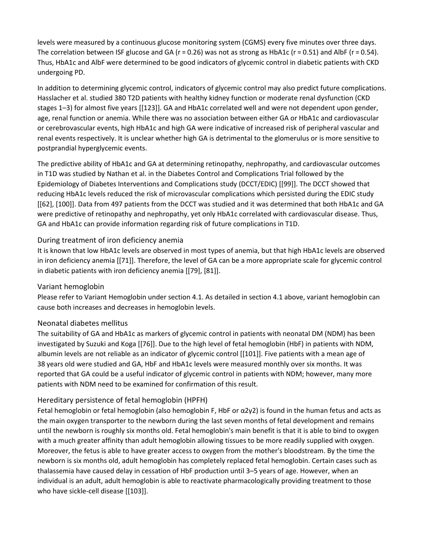levels were measured by a continuous glucose monitoring system (CGMS) every five minutes over three days. The correlation between ISF glucose and GA ( $r = 0.26$ ) was not as strong as HbA1c ( $r = 0.51$ ) and AlbF ( $r = 0.54$ ). Thus, HbA1c and AlbF were determined to be good indicators of glycemic control in diabetic patients with CKD undergoing PD.

In addition to determining glycemic control, indicators of glycemic control may also predict future complications. Hasslacher et al. studied 380 T2D patients with healthy kidney function or moderate renal dysfunction (CKD stages 1–3) for almost five years [[123]]. GA and HbA1c correlated well and were not dependent upon gender, age, renal function or anemia. While there was no association between either GA or HbA1c and cardiovascular or cerebrovascular events, high HbA1c and high GA were indicative of increased risk of peripheral vascular and renal events respectively. It is unclear whether high GA is detrimental to the glomerulus or is more sensitive to postprandial hyperglycemic events.

The predictive ability of HbA1c and GA at determining retinopathy, nephropathy, and cardiovascular outcomes in T1D was studied by Nathan et al. in the Diabetes Control and Complications Trial followed by the Epidemiology of Diabetes Interventions and Complications study (DCCT/EDIC) [[99]]. The DCCT showed that reducing HbA1c levels reduced the risk of microvascular complications which persisted during the EDIC study [[62], [100]]. Data from 497 patients from the DCCT was studied and it was determined that both HbA1c and GA were predictive of retinopathy and nephropathy, yet only HbA1c correlated with cardiovascular disease. Thus, GA and HbA1c can provide information regarding risk of future complications in T1D.

#### [During treatment of iron deficiency anemia](https://0-web-b-ebscohost-com.libus.csd.mu.edu/ehost/detail/detail?vid=3&sid=c5124c80-245b-49ef-91f1-b66e68033453%40pdc-v-sessmgr01&bdata=JnNpdGU9ZWhvc3QtbGl2ZQ%3d%3d#toc)

It is known that low HbA1c levels are observed in most types of anemia, but that high HbA1c levels are observed in iron deficiency anemia [[71]]. Therefore, the level of GA can be a more appropriate scale for glycemic control in diabetic patients with iron deficiency anemia [[79], [81]].

#### [Variant hemoglobin](https://0-web-b-ebscohost-com.libus.csd.mu.edu/ehost/detail/detail?vid=3&sid=c5124c80-245b-49ef-91f1-b66e68033453%40pdc-v-sessmgr01&bdata=JnNpdGU9ZWhvc3QtbGl2ZQ%3d%3d#toc)

Please refer to Variant Hemoglobin under section 4.1. As detailed in section 4.1 above, variant hemoglobin can cause both increases and decreases in hemoglobin levels.

#### [Neonatal diabetes mellitus](https://0-web-b-ebscohost-com.libus.csd.mu.edu/ehost/detail/detail?vid=3&sid=c5124c80-245b-49ef-91f1-b66e68033453%40pdc-v-sessmgr01&bdata=JnNpdGU9ZWhvc3QtbGl2ZQ%3d%3d#toc)

The suitability of GA and HbA1c as markers of glycemic control in patients with neonatal DM (NDM) has been investigated by Suzuki and Koga [[76]]. Due to the high level of fetal hemoglobin (HbF) in patients with NDM, albumin levels are not reliable as an indicator of glycemic control [[101]]. Five patients with a mean age of 38 years old were studied and GA, HbF and HbA1c levels were measured monthly over six months. It was reported that GA could be a useful indicator of glycemic control in patients with NDM; however, many more patients with NDM need to be examined for confirmation of this result.

#### [Hereditary persistence of fetal hemoglobin \(HPFH\)](https://0-web-b-ebscohost-com.libus.csd.mu.edu/ehost/detail/detail?vid=3&sid=c5124c80-245b-49ef-91f1-b66e68033453%40pdc-v-sessmgr01&bdata=JnNpdGU9ZWhvc3QtbGl2ZQ%3d%3d#toc)

Fetal hemoglobin or fetal hemoglobin (also hemoglobin F, HbF or  $\alpha$ 2γ2) is found in the human fetus and acts as the main oxygen transporter to the newborn during the last seven months of fetal development and remains until the newborn is roughly six months old. Fetal hemoglobin's main benefit is that it is able to bind to oxygen with a much greater affinity than adult hemoglobin allowing tissues to be more readily supplied with oxygen. Moreover, the fetus is able to have greater access to oxygen from the mother's bloodstream. By the time the newborn is six months old, adult hemoglobin has completely replaced fetal hemoglobin. Certain cases such as thalassemia have caused delay in cessation of HbF production until 3–5 years of age. However, when an individual is an adult, adult hemoglobin is able to reactivate pharmacologically providing treatment to those who have sickle-cell disease [[103]].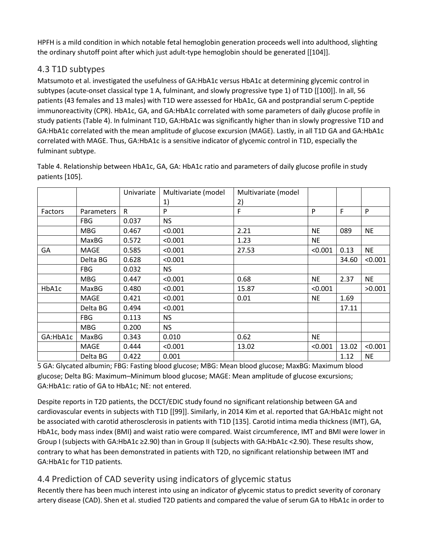HPFH is a mild condition in which notable fetal hemoglobin generation proceeds well into adulthood, slighting the ordinary shutoff point after which just adult-type hemoglobin should be generated [[104]].

### [4.3 T1D subtypes](https://0-web-b-ebscohost-com.libus.csd.mu.edu/ehost/detail/detail?vid=3&sid=c5124c80-245b-49ef-91f1-b66e68033453%40pdc-v-sessmgr01&bdata=JnNpdGU9ZWhvc3QtbGl2ZQ%3d%3d#toc)

Matsumoto et al. investigated the usefulness of GA:HbA1c versus HbA1c at determining glycemic control in subtypes (acute-onset classical type 1 A, fulminant, and slowly progressive type 1) of T1D [[100]]. In all, 56 patients (43 females and 13 males) with T1D were assessed for HbA1c, GA and postprandial serum C-peptide immunoreactivity (CPR). HbA1c, GA, and GA:HbA1c correlated with some parameters of daily glucose profile in study patients (Table 4). In fulminant T1D, GA:HbA1c was significantly higher than in slowly progressive T1D and GA:HbA1c correlated with the mean amplitude of glucose excursion (MAGE). Lastly, in all T1D GA and GA:HbA1c correlated with MAGE. Thus, GA:HbA1c is a sensitive indicator of glycemic control in T1D, especially the fulminant subtype.

|          |                   | Univariate | Multivariate (model | Multivariate (model |           |       |           |
|----------|-------------------|------------|---------------------|---------------------|-----------|-------|-----------|
|          |                   |            | 1)                  | 2)                  |           |       |           |
| Factors  | <b>Parameters</b> | R          | P                   | F                   | P         | F     | P         |
|          | <b>FBG</b>        | 0.037      | <b>NS</b>           |                     |           |       |           |
|          | <b>MBG</b>        | 0.467      | < 0.001             | 2.21                | <b>NE</b> | 089   | <b>NE</b> |
|          | MaxBG             | 0.572      | < 0.001             | 1.23                | <b>NE</b> |       |           |
| GA       | MAGE              | 0.585      | < 0.001             | 27.53               | < 0.001   | 0.13  | <b>NE</b> |
|          | Delta BG          | 0.628      | < 0.001             |                     |           | 34.60 | < 0.001   |
|          | <b>FBG</b>        | 0.032      | <b>NS</b>           |                     |           |       |           |
|          | <b>MBG</b>        | 0.447      | < 0.001             | 0.68                | <b>NE</b> | 2.37  | <b>NE</b> |
| HbA1c    | MaxBG             | 0.480      | < 0.001             | 15.87               | < 0.001   |       | >0.001    |
|          | MAGE              | 0.421      | < 0.001             | 0.01                | <b>NE</b> | 1.69  |           |
|          | Delta BG          | 0.494      | < 0.001             |                     |           | 17.11 |           |
|          | <b>FBG</b>        | 0.113      | <b>NS</b>           |                     |           |       |           |
|          | <b>MBG</b>        | 0.200      | <b>NS</b>           |                     |           |       |           |
| GA:HbA1c | MaxBG             | 0.343      | 0.010               | 0.62                | <b>NE</b> |       |           |
|          | MAGE              | 0.444      | < 0.001             | 13.02               | < 0.001   | 13.02 | < 0.001   |
|          | Delta BG          | 0.422      | 0.001               |                     |           | 1.12  | <b>NE</b> |

Table 4. Relationship between HbA1c, GA, GA: HbA1c ratio and parameters of daily glucose profile in study patients [105].

5 GA: Glycated albumin; FBG: Fasting blood glucose; MBG: Mean blood glucose; MaxBG: Maximum blood glucose; Delta BG: Maximum–Minimum blood glucose; MAGE: Mean amplitude of glucose excursions; GA:HbA1c: ratio of GA to HbA1c; NE: not entered.

Despite reports in T2D patients, the DCCT/EDIC study found no significant relationship between GA and cardiovascular events in subjects with T1D [[99]]. Similarly, in 2014 Kim et al. reported that GA:HbA1c might not be associated with carotid atherosclerosis in patients with T1D [135]. Carotid intima media thickness (IMT), GA, HbA1c, body mass index (BMI) and waist ratio were compared. Waist circumference, IMT and BMI were lower in Group I (subjects with GA:HbA1c ≥2.90) than in Group II (subjects with GA:HbA1c <2.90). These results show, contrary to what has been demonstrated in patients with T2D, no significant relationship between IMT and GA:HbA1c for T1D patients.

### [4.4 Prediction of CAD severity using indicators of glycemic status](https://0-web-b-ebscohost-com.libus.csd.mu.edu/ehost/detail/detail?vid=3&sid=c5124c80-245b-49ef-91f1-b66e68033453%40pdc-v-sessmgr01&bdata=JnNpdGU9ZWhvc3QtbGl2ZQ%3d%3d#toc)

Recently there has been much interest into using an indicator of glycemic status to predict severity of coronary artery disease (CAD). Shen et al. studied T2D patients and compared the value of serum GA to HbA1c in order to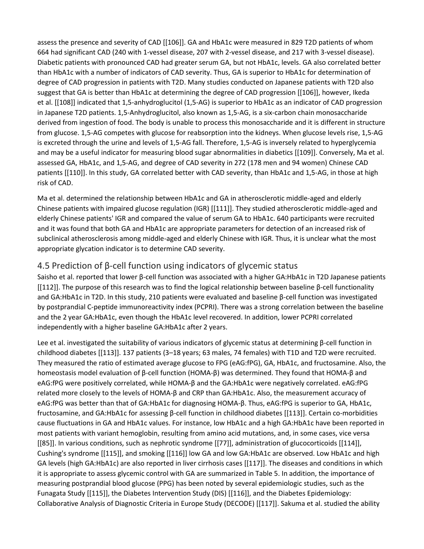assess the presence and severity of CAD [[106]]. GA and HbA1c were measured in 829 T2D patients of whom 664 had significant CAD (240 with 1-vessel disease, 207 with 2-vessel disease, and 217 with 3-vessel disease). Diabetic patients with pronounced CAD had greater serum GA, but not HbA1c, levels. GA also correlated better than HbA1c with a number of indicators of CAD severity. Thus, GA is superior to HbA1c for determination of degree of CAD progression in patients with T2D. Many studies conducted on Japanese patients with T2D also suggest that GA is better than HbA1c at determining the degree of CAD progression [[106]], however, Ikeda et al. [[108]] indicated that 1,5-anhydroglucitol (1,5-AG) is superior to HbA1c as an indicator of CAD progression in Japanese T2D patients. 1,5-Anhydroglucitol, also known as 1,5-AG, is a six-carbon chain monosaccharide derived from ingestion of food. The body is unable to process this monosaccharide and it is different in structure from glucose. 1,5-AG competes with glucose for reabsorption into the kidneys. When glucose levels rise, 1,5-AG is excreted through the urine and levels of 1,5-AG fall. Therefore, 1,5-AG is inversely related to hyperglycemia and may be a useful indicator for measuring blood sugar abnormalities in diabetics [[109]]. Conversely, Ma et al. assessed GA, HbA1c, and 1,5-AG, and degree of CAD severity in 272 (178 men and 94 women) Chinese CAD patients [[110]]. In this study, GA correlated better with CAD severity, than HbA1c and 1,5-AG, in those at high risk of CAD.

Ma et al. determined the relationship between HbA1c and GA in atherosclerotic middle-aged and elderly Chinese patients with impaired glucose regulation (IGR) [[111]]. They studied atherosclerotic middle-aged and elderly Chinese patients' IGR and compared the value of serum GA to HbA1c. 640 participants were recruited and it was found that both GA and HbA1c are appropriate parameters for detection of an increased risk of subclinical atherosclerosis among middle-aged and elderly Chinese with IGR. Thus, it is unclear what the most appropriate glycation indicator is to determine CAD severity.

### 4.5 Prediction of β[-cell function using indicators of](https://0-web-b-ebscohost-com.libus.csd.mu.edu/ehost/detail/detail?vid=3&sid=c5124c80-245b-49ef-91f1-b66e68033453%40pdc-v-sessmgr01&bdata=JnNpdGU9ZWhvc3QtbGl2ZQ%3d%3d#toc) glycemic status

Saisho et al. reported that lower β-cell function was associated with a higher GA:HbA1c in T2D Japanese patients [[112]]. The purpose of this research was to find the logical relationship between baseline β-cell functionality and GA:HbA1c in T2D. In this study, 210 patients were evaluated and baseline β-cell function was investigated by postprandial C-peptide immunoreactivity index (PCPRI). There was a strong correlation between the baseline and the 2 year GA:HbA1c, even though the HbA1c level recovered. In addition, lower PCPRI correlated independently with a higher baseline GA:HbA1c after 2 years.

Lee et al. investigated the suitability of various indicators of glycemic status at determining β-cell function in childhood diabetes [[113]]. 137 patients (3–18 years; 63 males, 74 females) with T1D and T2D were recruited. They measured the ratio of estimated average glucose to FPG (eAG:fPG), GA, HbA1c, and fructosamine. Also, the homeostasis model evaluation of β-cell function (HOMA-β) was determined. They found that HOMA-β and eAG:fPG were positively correlated, while HOMA-β and the GA:HbA1c were negatively correlated. eAG:fPG related more closely to the levels of HOMA-β and CRP than GA:HbA1c. Also, the measurement accuracy of eAG:fPG was better than that of GA:HbA1c for diagnosing HOMA-β. Thus, eAG:fPG is superior to GA, HbA1c, fructosamine, and GA:HbA1c for assessing β-cell function in childhood diabetes [[113]]. Certain co-morbidities cause fluctuations in GA and HbA1c values. For instance, low HbA1c and a high GA:HbA1c have been reported in most patients with variant hemoglobin, resulting from amino acid mutations, and, in some cases, vice versa [[85]]. In various conditions, such as nephrotic syndrome [[77]], administration of glucocorticoids [[114]], Cushing's syndrome [[115]], and smoking [[116]] low GA and low GA:HbA1c are observed. Low HbA1c and high GA levels (high GA:HbA1c) are also reported in liver cirrhosis cases [[117]]. The diseases and conditions in which it is appropriate to assess glycemic control with GA are summarized in Table 5. In addition, the importance of measuring postprandial blood glucose (PPG) has been noted by several epidemiologic studies, such as the Funagata Study [[115]], the Diabetes Intervention Study (DIS) [[116]], and the Diabetes Epidemiology: Collaborative Analysis of Diagnostic Criteria in Europe Study (DECODE) [[117]]. Sakuma et al. studied the ability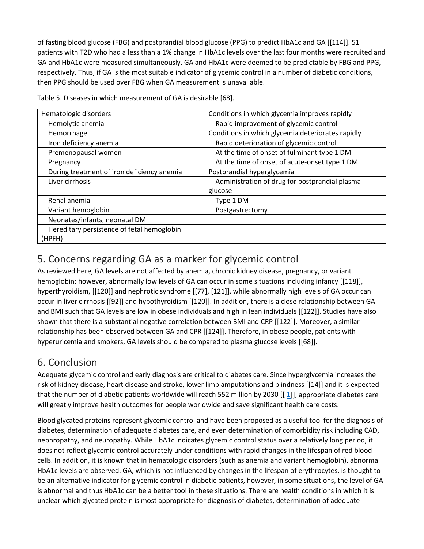of fasting blood glucose (FBG) and postprandial blood glucose (PPG) to predict HbA1c and GA [[114]]. 51 patients with T2D who had a less than a 1% change in HbA1c levels over the last four months were recruited and GA and HbA1c were measured simultaneously. GA and HbA1c were deemed to be predictable by FBG and PPG, respectively. Thus, if GA is the most suitable indicator of glycemic control in a number of diabetic conditions, then PPG should be used over FBG when GA measurement is unavailable.

| Hematologic disorders                      | Conditions in which glycemia improves rapidly     |
|--------------------------------------------|---------------------------------------------------|
| Hemolytic anemia                           | Rapid improvement of glycemic control             |
| Hemorrhage                                 | Conditions in which glycemia deteriorates rapidly |
| Iron deficiency anemia                     | Rapid deterioration of glycemic control           |
| Premenopausal women                        | At the time of onset of fulminant type 1 DM       |
| Pregnancy                                  | At the time of onset of acute-onset type 1 DM     |
| During treatment of iron deficiency anemia | Postprandial hyperglycemia                        |
| Liver cirrhosis                            | Administration of drug for postprandial plasma    |
|                                            | glucose                                           |
| Renal anemia                               | Type 1 DM                                         |
| Variant hemoglobin                         | Postgastrectomy                                   |
| Neonates/infants, neonatal DM              |                                                   |
| Hereditary persistence of fetal hemoglobin |                                                   |
| (HPFH)                                     |                                                   |

Table 5. Diseases in which measurement of GA is desirable [68].

### [5. Concerns regarding GA as a marker for glycemic control](https://0-web-b-ebscohost-com.libus.csd.mu.edu/ehost/detail/detail?vid=3&sid=c5124c80-245b-49ef-91f1-b66e68033453%40pdc-v-sessmgr01&bdata=JnNpdGU9ZWhvc3QtbGl2ZQ%3d%3d#toc)

As reviewed here, GA levels are not affected by anemia, chronic kidney disease, pregnancy, or variant hemoglobin; however, abnormally low levels of GA can occur in some situations including infancy [[118]], hyperthyroidism, [[120]] and nephrotic syndrome [[77], [121]], while abnormally high levels of GA occur can occur in liver cirrhosis [[92]] and hypothyroidism [[120]]. In addition, there is a close relationship between GA and BMI such that GA levels are low in obese individuals and high in lean individuals [[122]]. Studies have also shown that there is a substantial negative correlation between BMI and CRP [[122]]. Moreover, a similar relationship has been observed between GA and CPR [[124]]. Therefore, in obese people, patients with hyperuricemia and smokers, GA levels should be compared to plasma glucose levels [[68]].

### [6. Conclusion](https://0-web-b-ebscohost-com.libus.csd.mu.edu/ehost/detail/detail?vid=3&sid=c5124c80-245b-49ef-91f1-b66e68033453%40pdc-v-sessmgr01&bdata=JnNpdGU9ZWhvc3QtbGl2ZQ%3d%3d#toc)

Adequate glycemic control and early diagnosis are critical to diabetes care. Since hyperglycemia increases the risk of kidney disease, heart disease and stroke, lower limb amputations and blindness [[14]] and it is expected that the number of diabetic patients worldwide will reach 552 million by 2030 [[ [1\]](https://0-web-b-ebscohost-com.libus.csd.mu.edu/ehost/detail/detail?vid=3&sid=c5124c80-245b-49ef-91f1-b66e68033453%40pdc-v-sessmgr01&bdata=JnNpdGU9ZWhvc3QtbGl2ZQ%3d%3d#bib1)], appropriate diabetes care will greatly improve health outcomes for people worldwide and save significant health care costs.

Blood glycated proteins represent glycemic control and have been proposed as a useful tool for the diagnosis of diabetes, determination of adequate diabetes care, and even determination of comorbidity risk including CAD, nephropathy, and neuropathy. While HbA1c indicates glycemic control status over a relatively long period, it does not reflect glycemic control accurately under conditions with rapid changes in the lifespan of red blood cells. In addition, it is known that in hematologic disorders (such as anemia and variant hemoglobin), abnormal HbA1c levels are observed. GA, which is not influenced by changes in the lifespan of erythrocytes, is thought to be an alternative indicator for glycemic control in diabetic patients, however, in some situations, the level of GA is abnormal and thus HbA1c can be a better tool in these situations. There are health conditions in which it is unclear which glycated protein is most appropriate for diagnosis of diabetes, determination of adequate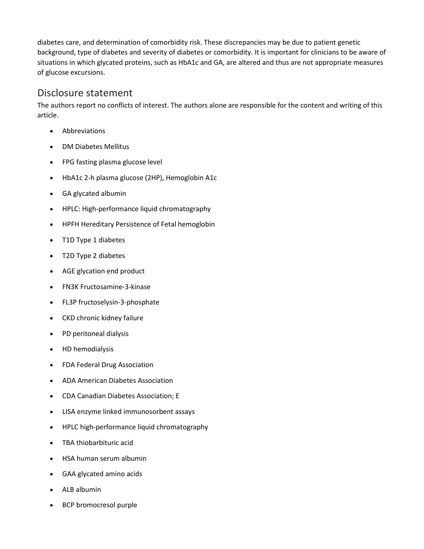diabetes care, and determination of comorbidity risk. These discrepancies may be due to patient genetic background, type of diabetes and severity of diabetes or comorbidity. It is important for clinicians to be aware of situations in which glycated proteins, such as HbA1c and GA, are altered and thus are not appropriate measures of glucose excursions.

#### [Disclosure statement](https://0-web-b-ebscohost-com.libus.csd.mu.edu/ehost/detail/detail?vid=3&sid=c5124c80-245b-49ef-91f1-b66e68033453%40pdc-v-sessmgr01&bdata=JnNpdGU9ZWhvc3QtbGl2ZQ%3d%3d#toc)

The authors report no conflicts of interest. The authors alone are responsible for the content and writing of this article.

- **Abbreviations**
- DM Diabetes Mellitus
- FPG fasting plasma glucose level
- HbA1c 2-h plasma glucose (2HP), Hemoglobin A1c
- GA glycated albumin
- HPLC: High-performance liquid chromatography
- HPFH Hereditary Persistence of Fetal hemoglobin
- T1D Type 1 diabetes
- T2D Type 2 diabetes
- AGE glycation end product
- FN3K Fructosamine-3-kinase
- FL3P fructoselysin-3-phosphate
- CKD chronic kidney failure
- PD peritoneal dialysis
- HD hemodialysis
- FDA Federal Drug Association
- ADA American Diabetes Association
- CDA Canadian Diabetes Association; E
- LISA enzyme linked immunosorbent assays
- HPLC high-performance liquid chromatography
- TBA thiobarbituric acid
- HSA human serum albumin
- GAA glycated amino acids
- ALB albumin
- BCP bromocresol purple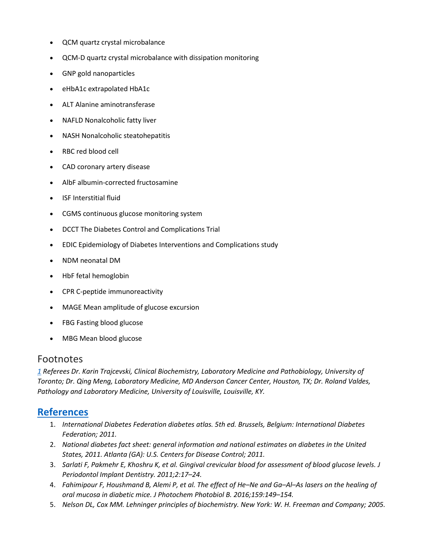- QCM quartz crystal microbalance
- QCM-D quartz crystal microbalance with dissipation monitoring
- GNP gold nanoparticles
- eHbA1c extrapolated HbA1c
- ALT Alanine aminotransferase
- NAFLD Nonalcoholic fatty liver
- NASH Nonalcoholic steatohepatitis
- RBC red blood cell
- CAD coronary artery disease
- AlbF albumin-corrected fructosamine
- ISF Interstitial fluid
- CGMS continuous glucose monitoring system
- DCCT The Diabetes Control and Complications Trial
- EDIC Epidemiology of Diabetes Interventions and Complications study
- NDM neonatal DM
- HbF fetal hemoglobin
- CPR C-peptide immunoreactivity
- MAGE Mean amplitude of glucose excursion
- FBG Fasting blood glucose
- MBG Mean blood glucose

#### [Footnotes](https://0-web-b-ebscohost-com.libus.csd.mu.edu/ehost/detail/detail?vid=3&sid=c5124c80-245b-49ef-91f1-b66e68033453%40pdc-v-sessmgr01&bdata=JnNpdGU9ZWhvc3QtbGl2ZQ%3d%3d#toc)

*[1](https://0-web-b-ebscohost-com.libus.csd.mu.edu/ehost/detail/detail?vid=3&sid=c5124c80-245b-49ef-91f1-b66e68033453%40pdc-v-sessmgr01&bdata=JnNpdGU9ZWhvc3QtbGl2ZQ%3d%3d#bib1up) Referees Dr. Karin Trajcevski, Clinical Biochemistry, Laboratory Medicine and Pathobiology, University of Toronto; Dr. Qing Meng, Laboratory Medicine, MD Anderson Cancer Center, Houston, TX; Dr. Roland Valdes, Pathology and Laboratory Medicine, University of Louisville, Louisville, KY.*

#### **[References](https://0-web-b-ebscohost-com.libus.csd.mu.edu/ehost/detail/detail?vid=3&sid=c5124c80-245b-49ef-91f1-b66e68033453%40pdc-v-sessmgr01&bdata=JnNpdGU9ZWhvc3QtbGl2ZQ%3d%3d#toc)**

- 1. *International Diabetes Federation diabetes atlas. 5th ed. Brussels, Belgium: International Diabetes Federation; 2011.*
- 2. *National diabetes fact sheet: general information and national estimates on diabetes in the United States, 2011. Atlanta (GA): U.S. Centers for Disease Control; 2011.*
- 3. *Sarlati F, Pakmehr E, Khoshru K, et al. Gingival crevicular blood for assessment of blood glucose levels. J Periodontol Implant Dentistry. 2011;2:17–24.*
- 4. *Fahimipour F, Houshmand B, Alemi P, et al. The effect of He–Ne and Ga–Al–As lasers on the healing of oral mucosa in diabetic mice. J Photochem Photobiol B. 2016;159:149–154.*
- 5. *Nelson DL, Cox MM. Lehninger principles of biochemistry. New York: W. H. Freeman and Company; 2005.*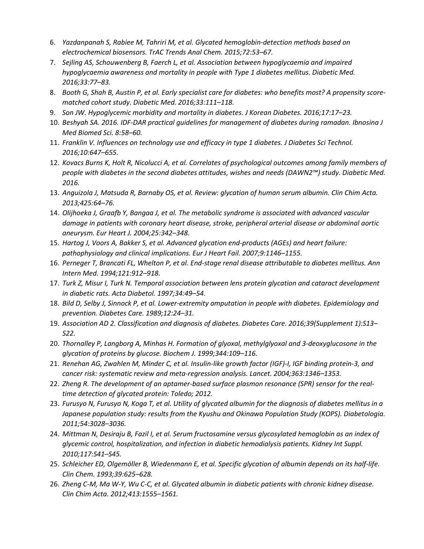- 6. *Yazdanpanah S, Rabiee M, Tahriri M, et al. Glycated hemoglobin-detection methods based on electrochemical biosensors. TrAC Trends Anal Chem. 2015;72:53–67.*
- 7. *Sejling AS, Schouwenberg B, Faerch L, et al. Association between hypoglycaemia and impaired hypoglycaemia awareness and mortality in people with Type 1 diabetes mellitus. Diabetic Med. 2016;33:77–83.*
- 8. *Booth G, Shah B, Austin P, et al. Early specialist care for diabetes: who benefits most? A propensity scorematched cohort study. Diabetic Med. 2016;33:111–118.*
- 9. *Son JW. Hypoglycemic morbidity and mortality in diabetes. J Korean Diabetes. 2016;17:17–23.*
- 10. *Beshyah SA. 2016. IDF-DAR practical guidelines for management of diabetes during ramadan. Ibnosina J Med Biomed Sci. 8:58–60.*
- 11. *Franklin V. Influences on technology use and efficacy in type 1 diabetes. J Diabetes Sci Technol. 2016;10:647–655.*
- 12. *Kovacs Burns K, Holt R, Nicolucci A, et al. Correlates of psychological outcomes among family members of people with diabetes in the second diabetes attitudes, wishes and needs (DAWN2™) study. Diabetic Med. 2016.*
- 13. *Anguizola J, Matsuda R, Barnaby OS, et al. Review: glycation of human serum albumin. Clin Chim Acta. 2013;425:64–76.*
- 14. *Olijhoeka J, Graafb Y, Bangaa J, et al. The metabolic syndrome is associated with advanced vascular damage in patients with coronary heart disease, stroke, peripheral arterial disease or abdominal aortic aneurysm. Eur Heart J. 2004;25:342–348.*
- 15. *Hartog J, Voors A, Bakker S, et al. Advanced glycation end-products (AGEs) and heart failure: pathophysiology and clinical implications. Eur J Heart Fail. 2007;9:1146–1155.*
- 16. *Perneger T, Brancati FL, Whelton P, et al. End-stage renal disease attributable to diabetes mellitus. Ann Intern Med. 1994;121:912–918.*
- 17. *Turk Z, Misur I, Turk N. Temporal association between lens protein glycation and cataract development in diabetic rats. Acta Diabetol. 1997;34:49–54.*
- 18. *Bild D, Selby J, Sinnock P, et al. Lower-extremity amputation in people with diabetes. Epidemiology and prevention. Diabetes Care. 1989;12:24–31.*
- 19. *Association AD 2. Classification and diagnosis of diabetes. Diabetes Care. 2016;39(Supplement 1):S13– S22.*
- 20. *Thornalley P, Langborg A, Minhas H. Formation of glyoxal, methylglyoxal and 3-deoxyglucosone in the glycation of proteins by glucose. Biochem J. 1999;344:109–116.*
- 21. *Renehan AG, Zwahlen M, Minder C, et al. Insulin-like growth factor (IGF)-I, IGF binding protein-3, and cancer risk: systematic review and meta-regression analysis. Lancet. 2004;363:1346–1353.*
- 22. *Zheng R. The development of an aptamer-based surface plasmon resonance (SPR) sensor for the realtime detection of glycated protein: Toledo; 2012.*
- 23. *Furusyo N, Furusyo N, Koga T, et al. Utility of glycated albumin for the diagnosis of diabetes mellitus in a*  Japanese population study: results from the Kyushu and Okinawa Population Study (KOPS). Diabetologia. *2011;54:3028–3036.*
- 24. *Mittman N, Desiraju B, Fazil I, et al. Serum fructosamine versus glycosylated hemoglobin as an index of glycemic control, hospitalization, and infection in diabetic hemodialysis patients. Kidney Int Suppl. 2010;117:S41–S45.*
- 25. *Schleicher ED, Olgemöller B, Wiedenmann E, et al. Specific glycation of albumin depends on its half-life. Clin Chem. 1993;39:625–628.*
- 26. *Zheng C-M, Ma W-Y, Wu C-C, et al. Glycated albumin in diabetic patients with chronic kidney disease. Clin Chim Acta. 2012;413:1555–1561.*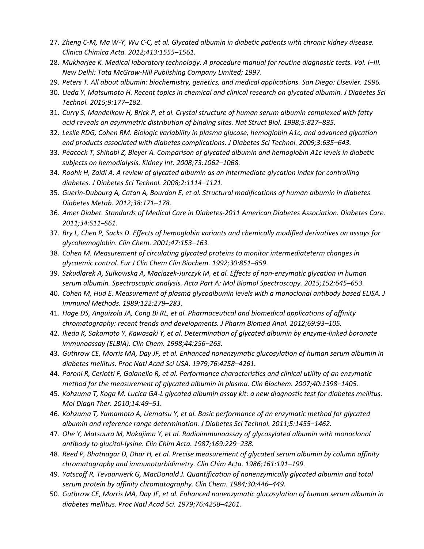- 27. *Zheng C-M, Ma W-Y, Wu C-C, et al. Glycated albumin in diabetic patients with chronic kidney disease. Clinica Chimica Acta. 2012;413:1555–1561.*
- 28. *Mukharjee K. Medical laboratory technology. A procedure manual for routine diagnostic tests. Vol. I–III. New Delhi: Tata McGraw-Hill Publishing Company Limited; 1997.*
- 29. *Peters T. All about albumin: biochemistry, genetics, and medical applications. San Diego: Elsevier. 1996.*
- 30. *Ueda Y, Matsumoto H. Recent topics in chemical and clinical research on glycated albumin. J Diabetes Sci Technol. 2015;9:177–182.*
- 31. *Curry S, Mandelkow H, Brick P, et al. Crystal structure of human serum albumin complexed with fatty acid reveals an asymmetric distribution of binding sites. Nat Struct Biol. 1998;5:827–835.*
- 32. *Leslie RDG, Cohen RM. Biologic variability in plasma glucose, hemoglobin A1c, and advanced glycation end products associated with diabetes complications. J Diabetes Sci Technol. 2009;3:635–643.*
- 33. *Peacock T, Shihabi Z, Bleyer A. Comparison of glycated albumin and hemoglobin A1c levels in diabetic subjects on hemodialysis. Kidney Int. 2008;73:1062–1068.*
- 34. *Roohk H, Zaidi A. A review of glycated albumin as an intermediate glycation index for controlling diabetes. J Diabetes Sci Technol. 2008;2:1114–1121.*
- 35. *Guerin-Dubourg A, Catan A, Bourdon E, et al. Structural modifications of human albumin in diabetes. Diabetes Metab. 2012;38:171–178.*
- 36. *Amer Diabet. Standards of Medical Care in Diabetes-2011 American Diabetes Association. Diabetes Care. 2011;34:S11–S61.*
- 37. *Bry L, Chen P, Sacks D. Effects of hemoglobin variants and chemically modified derivatives on assays for glycohemoglobin. Clin Chem. 2001;47:153–163.*
- 38. *Cohen M. Measurement of circulating glycated proteins to monitor intermediateterm changes in glycaemic control. Eur J Clin Chem Clin Biochem. 1992;30:851–859.*
- 39. *Szkudlarek A, Sułkowska A, Maciazek-Jurczyk M, et al. Effects of non-enzymatic glycation in human serum albumin. Spectroscopic analysis. Acta Part A: Mol Biomol Spectroscopy. 2015;152:645–653.*
- 40. *Cohen M, Hud E. Measurement of plasma glycoalbumin levels with a monoclonal antibody based ELISA. J Immunol Methods. 1989;122:279–283.*
- 41. *Hage DS, Anguizola JA, Cong Bi RL, et al. Pharmaceutical and biomedical applications of affinity chromatography: recent trends and developments. J Pharm Biomed Anal. 2012;69:93–105.*
- 42. *Ikeda K, Sakamoto Y, Kawasaki Y, et al. Determination of glycated albumin by enzyme-linked boronate immunoassay (ELBIA). Clin Chem. 1998;44:256–263.*
- 43. *Guthrow CE, Morris MA, Day JF, et al. Enhanced nonenzymatic glucosylation of human serum albumin in diabetes mellitus. Proc Natl Acad Sci USA. 1979;76:4258–4261.*
- 44. *Paroni R, Ceriotti F, Galanello R, et al. Performance characteristics and clinical utility of an enzymatic method for the measurement of glycated albumin in plasma. Clin Biochem. 2007;40:1398–1405.*
- 45. *Kohzuma T, Koga M. Lucica GA-L glycated albumin assay kit: a new diagnostic test for diabetes mellitus. Mol Diagn Ther. 2010;14:49–51.*
- 46. *Kohzuma T, Yamamoto A, Uematsu Y, et al. Basic performance of an enzymatic method for glycated albumin and reference range determination. J Diabetes Sci Technol. 2011;5:1455–1462.*
- 47. *Ohe Y, Matsuura M, Nakajima Y, et al. Radioimmunoassay of glycosylated albumin with monoclonal antibody to glucitol-lysine. Clin Chim Acta. 1987;169:229–238.*
- 48. *Reed P, Bhatnagar D, Dhar H, et al. Precise measurement of glycated serum albumin by column affinity chromatography and immunoturbidimetry. Clin Chim Acta. 1986;161:191–199.*
- 49. *Yatscoff R, Tevaarwerk G, MacDonald J. Quantification of nonenzymically glycated albumin and total serum protein by affinity chromatography. Clin Chem. 1984;30:446–449.*
- 50. *Guthrow CE, Morris MA, Day JF, et al. Enhanced nonenzymatic glucosylation of human serum albumin in diabetes mellitus. Proc Natl Acad Sci. 1979;76:4258–4261.*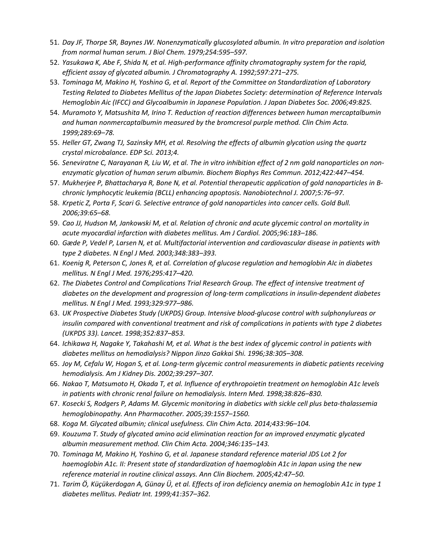- 51. *Day JF, Thorpe SR, Baynes JW. Nonenzymatically glucosylated albumin. In vitro preparation and isolation from normal human serum. J Biol Chem. 1979;254:595–597.*
- 52. *Yasukawa K, Abe F, Shida N, et al. High-performance affinity chromatography system for the rapid, efficient assay of glycated albumin. J Chromatography A. 1992;597:271–275.*
- 53. *Tominaga M, Makino H, Yoshino G, et al. Report of the Committee on Standardization of Laboratory Testing Related to Diabetes Mellitus of the Japan Diabetes Society: determination of Reference Intervals Hemoglobin Aic (IFCC) and Glycoalbumin in Japanese Population. J Japan Diabetes Soc. 2006;49:825.*
- 54. *Muramoto Y, Matsushita M, Irino T. Reduction of reaction differences between human mercaptalbumin and human nonmercaptalbumin measured by the bromcresol purple method. Clin Chim Acta. 1999;289:69–78.*
- 55. *Heller GT, Zwang TJ, Sazinsky MH, et al. Resolving the effects of albumin glycation using the quartz crystal microbalance. EDP Sci. 2013;4.*
- 56. *Seneviratne C, Narayanan R, Liu W, et al. The in vitro inhibition effect of 2 nm gold nanoparticles on nonenzymatic glycation of human serum albumin. Biochem Biophys Res Commun. 2012;422:447–454.*
- 57. *Mukherjee P, Bhattacharya R, Bone N, et al. Potential therapeutic application of gold nanoparticles in Bchronic lymphocytic leukemia (BCLL) enhancing apoptosis. Nanobiotechnol J. 2007;5:76–97.*
- 58. *Krpetic Z, Porta F, Scari G. Selective entrance of gold nanoparticles into cancer cells. Gold Bull. 2006;39:65–68.*
- 59. *Cao JJ, Hudson M, Jankowski M, et al. Relation of chronic and acute glycemic control on mortality in acute myocardial infarction with diabetes mellitus. Am J Cardiol. 2005;96:183–186.*
- 60. *Gæde P, Vedel P, Larsen N, et al. Multifactorial intervention and cardiovascular disease in patients with type 2 diabetes. N Engl J Med. 2003;348:383–393.*
- 61. *Koenig R, Peterson C, Jones R, et al. Correlation of glucose regulation and hemoglobin AIc in diabetes mellitus. N Engl J Med. 1976;295:417–420.*
- 62. *The Diabetes Control and Complications Trial Research Group. The effect of intensive treatment of diabetes on the development and progression of long-term complications in insulin-dependent diabetes mellitus. N Engl J Med. 1993;329:977–986.*
- 63. *UK Prospective Diabetes Study (UKPDS) Group. Intensive blood-glucose control with sulphonylureas or insulin compared with conventional treatment and risk of complications in patients with type 2 diabetes (UKPDS 33). Lancet. 1998;352:837–853.*
- 64. *Ichikawa H, Nagake Y, Takahashi M, et al. What is the best index of glycemic control in patients with diabetes mellitus on hemodialysis? Nippon Jinzo Gakkai Shi. 1996;38:305–308.*
- 65. *Joy M, Cefalu W, Hogan S, et al. Long-term glycemic control measurements in diabetic patients receiving hemodialysis. Am J Kidney Dis. 2002;39:297–307.*
- 66. *Nakao T, Matsumoto H, Okada T, et al. Influence of erythropoietin treatment on hemoglobin A1c levels in patients with chronic renal failure on hemodialysis. Intern Med. 1998;38:826–830.*
- 67. *Kosecki S, Rodgers P, Adams M. Glycemic monitoring in diabetics with sickle cell plus beta-thalassemia hemoglobinopathy. Ann Pharmacother. 2005;39:1557–1560.*
- 68. *Koga M. Glycated albumin; clinical usefulness. Clin Chim Acta. 2014;433:96–104.*
- 69. *Kouzuma T. Study of glycated amino acid elimination reaction for an improved enzymatic glycated albumin measurement method. Clin Chim Acta. 2004;346:135–143.*
- 70. *Tominaga M, Makino H, Yoshino G, et al. Japanese standard reference material JDS Lot 2 for haemoglobin A1c. II: Present state of standardization of haemoglobin A1c in Japan using the new reference material in routine clinical assays. Ann Clin Biochem. 2005;42:47–50.*
- 71. *Tarim Ö, Küçükerdogan A, Günay Ü, et al. Effects of iron deficiency anemia on hemoglobin A1c in type 1 diabetes mellitus. Pediatr Int. 1999;41:357–362.*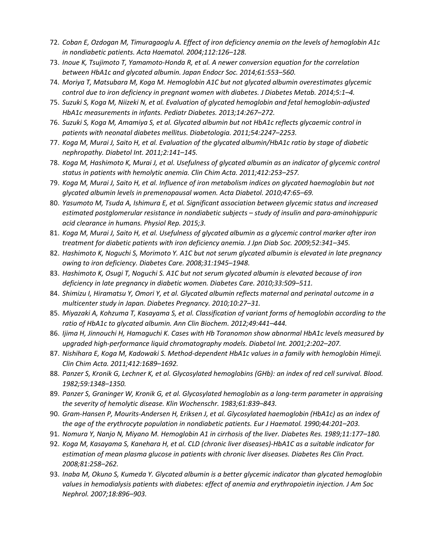- 72. *Coban E, Ozdogan M, Timuragaoglu A. Effect of iron deficiency anemia on the levels of hemoglobin A1c in nondiabetic patients. Acta Haematol. 2004;112:126–128.*
- 73. *Inoue K, Tsujimoto T, Yamamoto-Honda R, et al. A newer conversion equation for the correlation between HbA1c and glycated albumin. Japan Endocr Soc. 2014;61:553–560.*
- 74. *Moriya T, Matsubara M, Koga M. Hemoglobin A1C but not glycated albumin overestimates glycemic control due to iron deficiency in pregnant women with diabetes. J Diabetes Metab. 2014;5:1–4.*
- 75. *Suzuki S, Koga M, Niizeki N, et al. Evaluation of glycated hemoglobin and fetal hemoglobin-adjusted HbA1c measurements in infants. Pediatr Diabetes. 2013;14:267–272.*
- 76. *Suzuki S, Koga M, Amamiya S, et al. Glycated albumin but not HbA1c reflects glycaemic control in patients with neonatal diabetes mellitus. Diabetologia. 2011;54:2247–2253.*
- 77. *Koga M, Murai J, Saito H, et al. Evaluation of the glycated albumin/HbA1c ratio by stage of diabetic nephropathy. Diabetol Int. 2011;2:141–145.*
- 78. *Koga M, Hashimoto K, Murai J, et al. Usefulness of glycated albumin as an indicator of glycemic control status in patients with hemolytic anemia. Clin Chim Acta. 2011;412:253–257.*
- 79. *Koga M, Murai J, Saito H, et al. Influence of iron metabolism indices on glycated haemoglobin but not glycated albumin levels in premenopausal women. Acta Diabetol. 2010;47:65–69.*
- 80. *Yasumoto M, Tsuda A, Ishimura E, et al. Significant association between glycemic status and increased estimated postglomerular resistance in nondiabetic subjects – study of insulin and para-aminohippuric acid clearance in humans. Physiol Rep. 2015;3.*
- 81. *Koga M, Murai J, Saito H, et al. Usefulness of glycated albumin as a glycemic control marker after iron treatment for diabetic patients with iron deficiency anemia. J Jpn Diab Soc. 2009;52:341–345.*
- 82. *Hashimoto K, Noguchi S, Morimoto Y. A1C but not serum glycated albumin is elevated in late pregnancy owing to iron deficiency. Diabetes Care. 2008;31:1945–1948.*
- 83. *Hashimoto K, Osugi T, Noguchi S. A1C but not serum glycated albumin is elevated because of iron deficiency in late pregnancy in diabetic women. Diabetes Care. 2010;33:509–511.*
- 84. *Shimizu I, Hiramatsu Y, Omori Y, et al. Glycated albumin reflects maternal and perinatal outcome in a multicenter study in Japan. Diabetes Pregnancy. 2010;10:27–31.*
- 85. *Miyazaki A, Kohzuma T, Kasayama S, et al. Classification of variant forms of hemoglobin according to the ratio of HbA1c to glycated albumin. Ann Clin Biochem. 2012;49:441–444.*
- 86. *Ijima H, Jinnouchi H, Hamaguchi K. Cases with Hb Toranomon show abnormal HbA1c levels measured by upgraded high-performance liquid chromatography models. Diabetol Int. 2001;2:202–207.*
- 87. *Nishihara E, Koga M, Kadowaki S. Method-dependent HbA1c values in a family with hemoglobin Himeji. Clin Chim Acta. 2011;412:1689–1692.*
- 88. *Panzer S, Kronik G, Lechner K, et al. Glycosylated hemoglobins (GHb): an index of red cell survival. Blood. 1982;59:1348–1350.*
- 89. *Panzer S, Graninger W, Kronik G, et al. Glycosylated hemoglobin as a long-term parameter in appraising the severity of hemolytic disease. Klin Wochenschr. 1983;61:839–843.*
- 90. *Gram-Hansen P, Mourits-Andersen H, Eriksen J, et al. Glycosylated haemoglobin (HbA1c) as an index of the age of the erythrocyte population in nondiabetic patients. Eur J Haematol. 1990;44:201–203.*
- 91. *Nomura Y, Nanjo N, Miyano M. Hemoglobin A1 in cirrhosis of the liver. Diabetes Res. 1989;11:177–180.*
- 92. *Koga M, Kasayama S, Kanehara H, et al. CLD (chronic liver diseases)-HbA1C as a suitable indicator for estimation of mean plasma glucose in patients with chronic liver diseases. Diabetes Res Clin Pract. 2008;81:258–262.*
- 93. *Inaba M, Okuno S, Kumeda Y. Glycated albumin is a better glycemic indicator than glycated hemoglobin values in hemodialysis patients with diabetes: effect of anemia and erythropoietin injection. J Am Soc Nephrol. 2007;18:896–903.*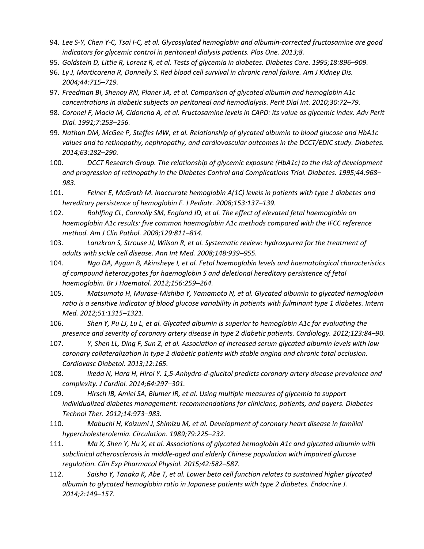- 94. *Lee S-Y, Chen Y-C, Tsai I-C, et al. Glycosylated hemoglobin and albumin-corrected fructosamine are good indicators for glycemic control in peritoneal dialysis patients. Plos One. 2013;8.*
- 95. *Goldstein D, Little R, Lorenz R, et al. Tests of glycemia in diabetes. Diabetes Care. 1995;18:896–909.*
- 96. *Ly J, Marticorena R, Donnelly S. Red blood cell survival in chronic renal failure. Am J Kidney Dis. 2004;44:715–719.*
- 97. *Freedman BI, Shenoy RN, Planer JA, et al. Comparison of glycated albumin and hemoglobin A1c concentrations in diabetic subjects on peritoneal and hemodialysis. Perit Dial Int. 2010;30:72–79.*
- 98. *Coronel F, Macia M, Cidoncha A, et al. Fructosamine levels in CAPD: its value as glycemic index. Adv Perit Dial. 1991;7:253–256.*
- 99. *Nathan DM, McGee P, Steffes MW, et al. Relationship of glycated albumin to blood glucose and HbA1c values and to retinopathy, nephropathy, and cardiovascular outcomes in the DCCT/EDIC study. Diabetes. 2014;63:282–290.*
- 100. *DCCT Research Group. The relationship of glycemic exposure (HbA1c) to the risk of development and progression of retinopathy in the Diabetes Control and Complications Trial. Diabetes. 1995;44:968– 983.*
- 101. *Felner E, McGrath M. Inaccurate hemoglobin A(1C) levels in patients with type 1 diabetes and hereditary persistence of hemoglobin F. J Pediatr. 2008;153:137–139.*
- 102. *Rohlfing CL, Connolly SM, England JD, et al. The effect of elevated fetal haemoglobin on haemoglobin A1c results: five common haemoglobin A1c methods compared with the IFCC reference method. Am J Clin Pathol. 2008;129:811–814.*
- 103. *Lanzkron S, Strouse JJ, Wilson R, et al. Systematic review: hydroxyurea for the treatment of adults with sickle cell disease. Ann Int Med. 2008;148:939–955.*
- 104. *Ngo DA, Aygun B, Akinsheye I, et al. Fetal haemoglobin levels and haematological characteristics of compound heterozygotes for haemoglobin S and deletional hereditary persistence of fetal haemoglobin. Br J Haematol. 2012;156:259–264.*
- 105. *Matsumoto H, Murase-Mishiba Y, Yamamoto N, et al. Glycated albumin to glycated hemoglobin ratio is a sensitive indicator of blood glucose variability in patients with fulminant type 1 diabetes. Intern Med. 2012;51:1315–1321.*
- 106. *Shen Y, Pu LJ, Lu L, et al. Glycated albumin is superior to hemoglobin A1c for evaluating the presence and severity of coronary artery disease in type 2 diabetic patients. Cardiology. 2012;123:84–90.*
- 107. *Y, Shen LL, Ding F, Sun Z, et al. Association of increased serum glycated albumin levels with low coronary collateralization in type 2 diabetic patients with stable angina and chronic total occlusion. Cardiovasc Diabetol. 2013;12:165.*
- 108. *Ikeda N, Hara H, Hiroi Y. 1,5-Anhydro-d-glucitol predicts coronary artery disease prevalence and complexity. J Cardiol. 2014;64:297–301.*
- 109. *Hirsch IB, Amiel SA, Blumer IR, et al. Using multiple measures of glycemia to support individualized diabetes management: recommendations for clinicians, patients, and payers. Diabetes Technol Ther. 2012;14:973–983.*
- 110. *Mabuchi H, Koizumi J, Shimizu M, et al. Development of coronary heart disease in familial hypercholesterolemia. Circulation. 1989;79:225–232.*
- 111. *Ma X, Shen Y, Hu X, et al. Associations of glycated hemoglobin A1c and glycated albumin with subclinical atherosclerosis in middle-aged and elderly Chinese population with impaired glucose regulation. Clin Exp Pharmacol Physiol. 2015;42:582–587.*
- 112. *Saisho Y, Tanaka K, Abe T, et al. Lower beta cell function relates to sustained higher glycated albumin to glycated hemoglobin ratio in Japanese patients with type 2 diabetes. Endocrine J. 2014;2:149–157.*